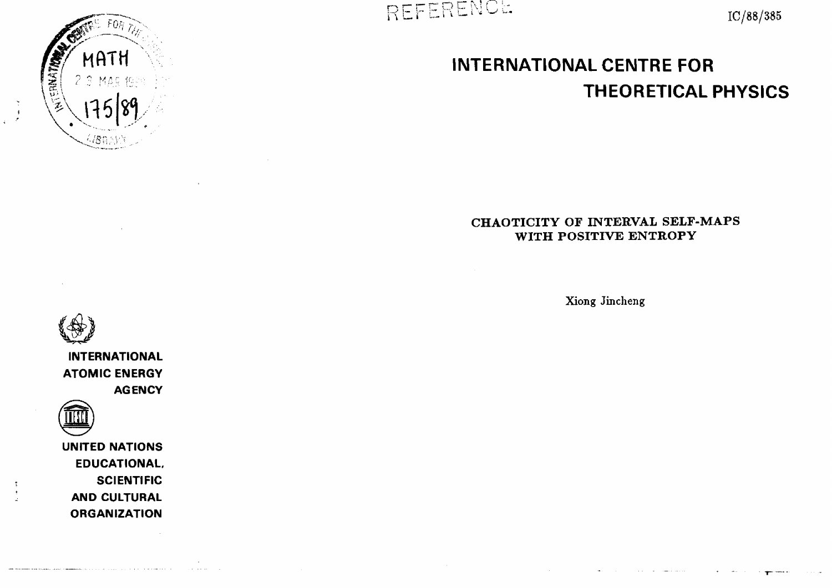

 $\frac{1}{2}$ 

# REFERENCE IC/88/385

## **INTERNATIONAL CENTRE FOR THEORETICAL PHYSICS**

## CHAOTICITY OF INTERVAL SELF-MAPS WITH POSITIVE ENTROPY

Xiong Jincheng



**INTERNATIONAL ATOMIC ENERGY AGENCY**



-71

**UNITED NATIONS EDUCATIONAL, SCIENTIFIC AND CULTURAL ORGANIZATION**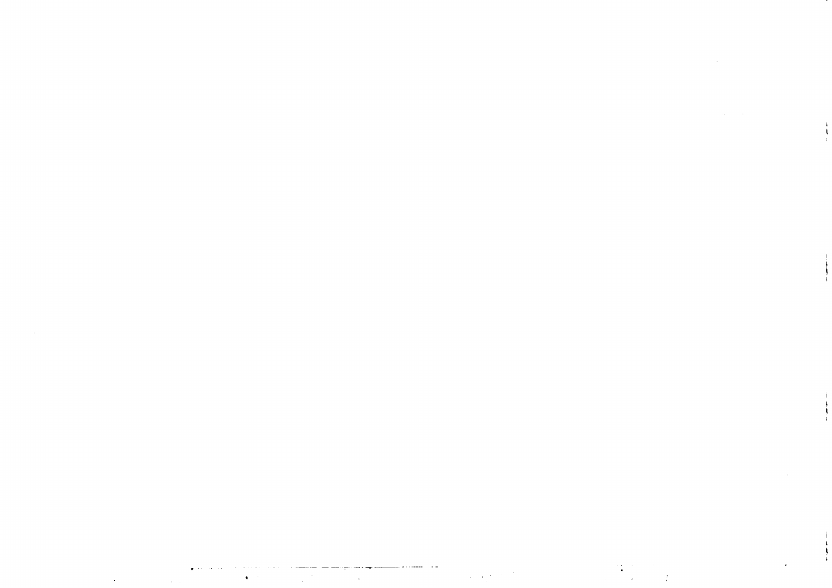$\frac{1}{2}\left(\frac{1}{2}\right)^{2}\left(\frac{1}{2}\right)^{2}=\frac{1}{2}\left(\frac{1}{2}\right)^{2}$ 

 $\mathcal{L}^{\text{max}}_{\text{max}}$  , where  $\mathcal{L}^{\text{max}}_{\text{max}}$ 

 $\sim 10^{-1}$ 

 $\mathbf{1}$  $\mathbf{I}_\mathrm{L}$ 

 $\mathbf{L}$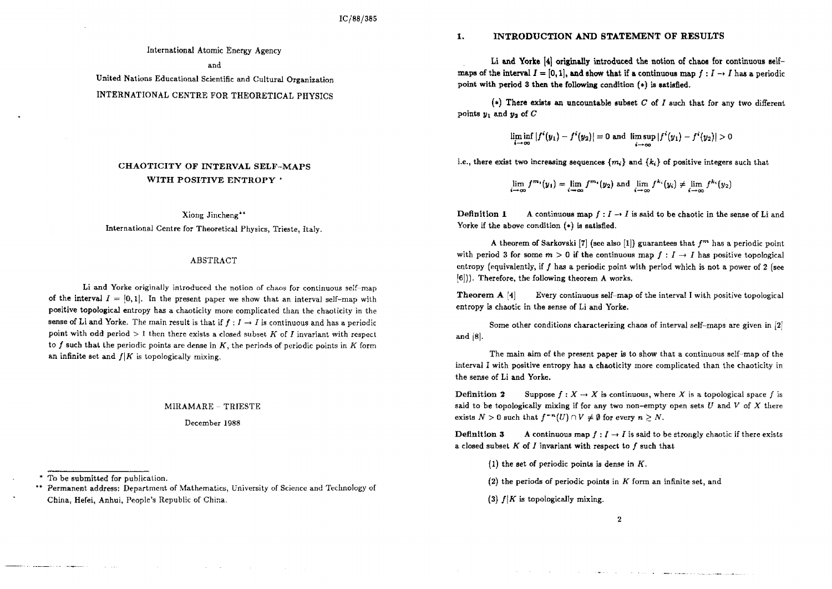## IC/88/385

## Internationa! Atomic Energy Agency

and

United Nations Educational Scientific and Cultural Organization INTERNATIONAL CENTRE FOR THEORETICAL PHYSICS

## **CHAOTICITY OF INTERVAL SELF-MAPS WITH POSITIVE ENTROPY** \*

Xiong Jincheng\*\* International Centre for Theoretical Physics, Trieste, Italy.

## ABSTRACT

Li and Yorke originally introduced the notion of chaos for continuous self-map of the interval  $I = [0,1]$ . In the present paper we show that an interval self-map with positive topological entropy has a chaoticity more complicated than the chaoticity in the sense of Li and Yorke. The main result is that if  $f: I \to I$  is continuous and has a periodic point with odd period  $> 1$  then there exists a closed subset K of I invariant with respect to  $f$  such that the periodic points are dense in  $K$ , the periods of periodic points in  $K$  form an infinite set and  $f\vert K$  is topologically mixing.

#### MIRAMARE - TRIESTE

December 1988

To be submitted for publication.

\*\* Permanent address: Department of Mathematics, University of Science and Technology of China, Hefei, Anhui, People's Republic of China.

## 1. **INTRODUCTION AND STATEMENT OF RESULTS**

Li and Yorke [4] originally introduced the notion of chaos for continuous self**maps of the interval**  $I = [0, 1]$ , and show that if a continuous map  $f : I \rightarrow I$  has a periodic **point with period 3 then the following condition (\*) is satisfied.**

 $(*)$  There exists an uncountable subset *C* of *I* such that for any two different points  $y_i$  and  $y_0$  of  $C$ 

 $\liminf_{i \to \infty} |f^{i}(y_1) - f^{i}(y_2)| = 0$  and  $\limsup_{i \to \infty} |f^{i}(y_1) - f^{i}(y_2)| > 0$ 

i.e., there exist two increasing sequences  $\{m_i\}$  and  $\{k_i\}$  of positive integers such that

 $\lim_{i\to\infty} f^{m_i}(y_i) = \lim_{i\to\infty} f^{m_i}(y_2)$  and  $\lim_{i\to\infty} f^{k_i}(y_i) \neq \lim_{i\to\infty} f^{k_i}(y_2)$ 

**Definition 1** A continuous map  $f: I \rightarrow I$  is said to be chaotic in the sense of Li and Yorke if the above condition (\*) is satisfied.

A theorem of Sarkovski [7] (see also [1]) guarantees that *f<sup>m</sup>* has a periodic point with period 3 for some  $m > 0$  if the continuous map  $f : I \to I$  has positive topological entropy (equivalently, if  $f$  has a periodic point with period which is not a power of 2 (see [6])). Therefore, the following theorem A works.

**Theorem A** [4] Every continuous self-map of the interval I with positive topological entropy is chaotic in the sense of Li and Yorke.

Some other conditions characterizing chaos of interval self-maps are given in [2] and [8].

The main aim of the present paper is to show that a continuous self-map of the interval I with positive entropy has a chaoticity more complicated than the chaoticity in the sense of Li and Yorke.

**Definition 2** Suppose  $f : X \to X$  is continuous, where X is a topological space f is said to be topologically mixing if for any two non-empty open sets *U* and *V* of *X* there exists  $N > 0$  such that  $f^{-n}(U) \cap V \neq \emptyset$  for every  $n \geq N$ .

**Definition 3** A continuous map  $f: I \to I$  is said to be strongly chaotic if there exists a closed subset  $K$  of  $I$  invariant with respect to  $f$  such that

(1) the set of periodic points is dense in *K.*

(2) the periods of periodic points in *K* form an infinite set, and

(3)  $f\vert K$  is topologically mixing.

**2**

a series and the series of the series of the series of the series of the series of the series of the series of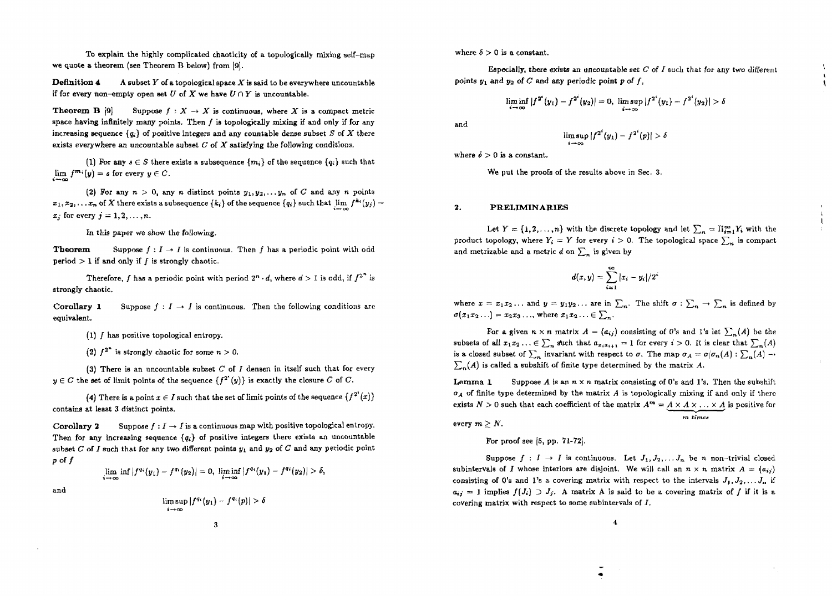To explain the highly complicated chaoticity of a topologically mixing self-map we quote a theorem (see Theorem B below) from [9],

**Definition 4 A** subset *Y* of a topological space *X* is said to be everywhere uncountable if for every non-empty open set  $U$  of  $X$  we have  $U \cap Y$  is uncountable.

**Theorem B** [9] Suppose  $f : X \to X$  is continuous, where X is a compact metric space having infinitely many points. Then  $f$  is topologically mixing if and only if for any increasing sequence  $\{q_i\}$  of positive integers and any countable dense subset *S* of *X* there exists everywhere an uncountable subset *C* of X satisfying the following conditions.

(1) For any  $s \in S$  there exists a subsequence  $\{m_i\}$  of the sequence  $\{q_i\}$  such that  $\lim_{x\to\infty}f^{m_i}(y)=s$  for every  $y\in C$ .

(2) For any  $n > 0$ , any *n* distinct points  $y_1, y_2, \ldots, y_n$  of *C* and any *n* points  $x_1, x_2, \ldots x_n$  of X there exists a subsequence  $\{k_i\}$  of the sequence  $\{q_i\}$  such that  $\lim f^k(y_j) =$ *i*—H3O *xj* for every j = 1,2,... ,n.

**Theorem Suppose** *J* : *I* is continuous. Then *I* has a periodic point with odd period > 1 if and only if / is strongly chaotic.

Therefore, f has a periodic point with period  $2^n \cdot d$ , where  $d > 1$  is odd, if  $f^{2^n}$  is strongly chaotic.

Corollary 1 Suppose  $f: I \to I$  is continuous. Then the following conditions are equivalent.

 $(1)$  f has positive topological entropy.

(2)  $f^{2^n}$  is strongly chaotic for some  $n > 0$ .

(3) There is an uncountable subset  $C$  of  $I$  densen in itself such that for every  $y \in C$  the set of limit points of the sequence  $\{f^{2^i}(y)\}$  is exactly the closure  $\bar{C}$  of  $C.$ 

(4) There is a point  $x \in I$  such that the set of limit points of the sequence  $\{f^{2^i}(x)\}$ contains at least 3 distinct points.

**Corollary 2** Suppose  $f: I \to I$  is a continuous map with positive topological entropy. Then for any increasing sequence  ${g_i}$  of positive integers there exists an uncountable subset *C* of *I* such that for any two different points  $y_1$  and  $y_2$  of *C* and any periodic point  $p$  of  $f$ 

$$
\lim_{i\to\infty}\inf|f^{q_i}(y_1)-f^{q_i}(y_2)|=0,\ \liminf_{i\to\infty}|f^{q_i}(y_1)-f^{q_i}(y_2)|>\delta,
$$

and

$$
\limsup_{i\to\infty}|f^{q_i}(y_1)-f^{q_i}(p)|>\delta
$$

 $\mathbf{3}$ 

where  $\delta > 0$  is a constant.

Especially, there exists an uncountable set *C of I* such that for any two different points *yi* and *y2* of *C* and any periodic point *p* of /,

$$
\liminf_{i\to\infty}|f^{2^i}(y_1)-f^{2^i}(y_2)|=0, \ \limsup_{i\to\infty}|f^{2^i}(y_1)-f^{2^i}(y_2)|>\delta
$$

and

$$
\limsup_{i\to\infty}|f^{2^*}(y_1)-f^{2^*}(p)|>\delta
$$

where  $\delta > 0$  is a constant.

We put the proofs of the results above in Sec. 3.

#### **2. PRELIMINARIES**

Let  $Y = \{1, 2, ..., n\}$  with the discrete topology and let  $\sum_{n} = \prod_{i=1}^{\infty} Y_i$  with the product topology, where  $Y_i = Y$  for every  $i > 0$ . The topological space  $\sum_{n=1}^{\infty}$  is compact and metrizable and a metric  $d$  on  $\sum_{n}$  is given by

$$
d(x,y)=\sum_{i=1}^{\infty}|x_i-y_i|/2
$$

where  $x = x_1 x_2 ...$  and  $y = y_1 y_2 ...$  are in  $\sum_n$ . The shift  $\sigma : \sum_n \to \sum_n$  is defined by  $\sigma(x_1x_2...)=x_2x_3...,$  where  $x_1x_2... \in \sum_n$ .

For a given  $n \times n$  matrix  $A = (a_{ij})$  consisting of 0's and 1's let  $\sum_n(A)$  be the subsets of all  $x_1x_2... \in \sum_n$  such that  $a_{x_ix_{i+1}} = 1$  for every  $i > 0$ . It is clear that  $\sum_n(A)$ is a closed subset of  $\sum_{n}$  invariant with respect to  $\sigma$ . The map  $\sigma_A = \sigma | \sigma_n(A) : \sum_{n} (A) \rightarrow$  $\sum_{n}(A)$  is called a subshift of finite type determined by the matrix A.

**Lemma 1** Suppose A is an  $n \times n$  matrix consisting of 0's and 1's. Then the subshift  $\sigma_A$  of finite type determined by the matrix A is topologically mixing if and only if there exists  $N > 0$  such that each coefficient of the matrix  $A^m = A \times A \times ... \times A$  is positive for

*m times*

every  $m > N$ .

For proof see [5, pp. 71-72].

Suppose  $f: I \to I$  is continuous. Let  $J_1, J_2, \ldots, J_n$  be n non-trivial closed subintervals of *I* whose interiors are disjoint. We will call an  $n \times n$  matrix  $A = (a_{ij})$ consisting of 0's and 1's a covering matrix with respect to the intervals  $J_1, J_2, \ldots, J_n$  if  $a_{ij} = 1$  implies  $f(J_i) \supset J_j$ . A matrix A is said to be a covering matrix of f if it is a covering matrix with respect to some subintervals of I.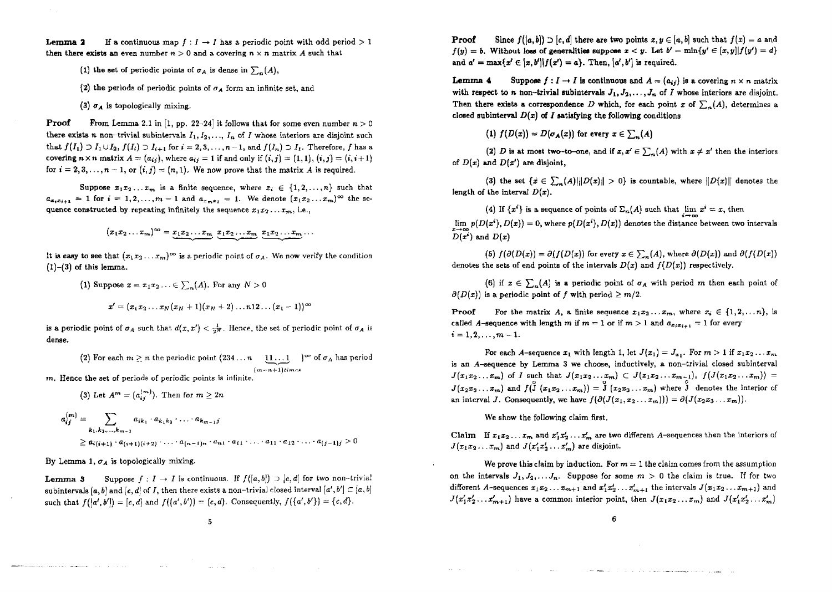**Lemma 2** If a continuous map  $f: I \to I$  has a periodic point with odd period  $> 1$ then there exists an even number  $n > 0$  and a covering  $n \times n$  matrix A such that

(1) the set of periodic points of  $\sigma_A$  is dense in  $\sum_n(A)$ ,

(2) the periods of periodic points of  $\sigma_A$  form an infinite set, and

(3)  $\sigma_A$  is topologically mixing.

**Proof** From Lemma 2.1 in [1, pp. 22-24] it follows that for some even number  $n > 0$ there exists *n* non-trivial subintervals  $I_1, I_2, \ldots, I_n$  of *I* whose interiors are disjoint such that  $f(I_1) \supset I_1 \cup I_2$ ,  $f(I_i) \supset I_{i+1}$  for  $i = 2, 3, \ldots, n-1$ , and  $f(I_n) \supset I_1$ . Therefore,  $f$  has a covering  $n \times n$  matrix  $A = \{a_{ij}\}\$ , where  $a_{ij} = 1$  if and only if  $(i,j) = (1,1), (i,j) = (i,i+1)\}$ for  $i = 2, 3, ..., n - 1$ , or  $(i, j) = (n, 1)$ . We now prove that the matrix A is required.

Suppose  $x_1x_2...x_m$  is a finite sequence, where  $x_i \in \{1,2,...,n\}$  such that  $a_{\alpha_i,\alpha_{i+1}} = 1$  for  $i = 1,2,...,m-1$  and  $a_{\alpha_{m}^{\alpha_{1}}} = 1$ . We denote  $(x_1 x_2 ... x_m)^\infty$  the sequence constructed by repeating infinitely the sequence  $x_1x_2...x_m$ , i.e.,

 $(x_1x_2...x_m)$ <sup>∞</sup> =  $x_1x_2...x_m$   $x_1x_2...x_m$   $x_1x_2...x_m...$ 

It is easy to see that  $(x_1x_2 \tldots x_m)$ <sup>∞</sup> is a periodic point of  $\sigma_A$ . We now verify the condition  $(1)-(3)$  of this lemma.

(1) Suppose 
$$
x = x_1 x_2 ... \in \sum_n (A)
$$
. For any  $N > 0$ 

$$
x'=(x_1x_2\ldots x_N(x_N+1)(x_N+2)\ldots n12\ldots(x_1-1))^{\infty}
$$

is a periodic point of  $\sigma_A$  such that  $d(x, x') < \frac{1}{2N}$ . Hence, the set of periodic point of  $\sigma_A$  is dense.

(2) For each  $m\geq n$  the periodic point  $\{234\ldots n-11\ldots 1-\}^{\infty}$  of  $\sigma_A$  has period *(m-n+i.)timr.a*

*m.* Hence the set of periods of periodic points is infinite.

(3) Let 
$$
A^m = (a_{ij}^{(m)})
$$
. Then for  $m \geq 2n$ 

$$
a_{ij}^{(m)} = \sum_{k_1, k_2, \ldots, k_{m-1}} a_{ik_1} \cdot a_{k_1 k_2} \cdot \ldots \cdot a_{k_{m-1} j}
$$

 $\geq a_{i(i+1)} \cdot a_{(i+1)(i+2)} \cdot \ldots \cdot a_{(n-1)n} \cdot a_{n1} \cdot a_{11} \cdot \ldots \cdot a_{11} \cdot a_{12} \cdot \ldots \cdot a_{(i-1)i} > 0$ 

By Lemma 1,  $\sigma_A$  is topologically mixing.

**Lemma 3** Suppose  $f : I \to I$  is continuous. If  $f([a, b]) \supset [c, d]$  for two non-trivial subintervals  $[a,b]$  and  $[c,d]$  of  $I,$  then there exists a non-trivial closed interval  $[a',b'] \subset [a,b]$ such that  $f([a',b']) = [c,d]$  and  $f([a',b']) = (c,d)$ . Consequently,  $f({a',b'}) = {c,d}.$ 

**Proof** Since  $f([a, b]) \supset [c, d]$  there are two points  $x, y \in [a, b]$  such that  $f(x) = a$  and  $f(y) = b$ . Without loss of generalities suppose  $x < y$ . Let  $b' = \min\{y' \in [x, y]| f(y') = d\}$ and  $a' = \max\{x' \in [x, b'] | f(x') = a\}$ . Then,  $[a', b']$  is required.

**Lemma 4** Suppose  $f: I \to I$  is continuous and  $A = (a_{ij})$  is a covering  $n \times n$  matrix with respect to *n* non-trivial subintervals  $J_1, J_2, \ldots, J_n$  of *I* whose interiors are disjoint. **Then there exists a correspondence** *D* which, for each point *x* of  $\sum_{n}(A)$ , determines a closed subinterval  $D(x)$  of *I* satisfying the following conditions

(1)  $f(D(x)) = D(\sigma_A(x))$  for every  $x \in \sum_a(A)$ 

(2) D is at most two-to-one, and if  $x, x' \in \sum_n(A)$  with  $x \neq x'$  then the interiors of  $D(x)$  and  $D(x')$  are disjoint.

(3) the set  ${x \in \sum_n (A) ||D(x)|| > 0}$  is countable, where  $||D(x)||$  denotes the length of the interval *D{x).*

(4) If  $\{x^i\}$  is a sequence of points of  $\Sigma_n(A)$  such that  $\lim_{i \to \infty} x^i = x$ , then  $\lim_{x\to\infty} p(D(x^i), D(x)) = 0$ , where  $p(D(x^i), D(x))$  denotes the distance between two intervals  $D(x^i)$  and  $D(x)$ 

(5)  $f(\partial(D(x)) = \partial(f(D(x))$  for every  $x \in \sum_n(A)$ , where  $\partial(D(x))$  and  $\partial(f(D(x))$ denotes the sets of end points of the intervals  $D(x)$  and  $f(D(x))$  respectively.

(6) if  $x \in \sum_{n}(A)$  is a periodic point of  $\sigma_A$  with period m then each point of  $\partial(D(x))$  is a periodic point of f with period  $\geq m/2$ .

**Proof** For the matrix A, a finite sequence  $x_1x_2...x_m$ , where  $x_i \in \{1,2,...n\}$ , is called A-sequence with length m if  $m = 1$  or if  $m > 1$  and  $a_{x_i x_{i+1}} = 1$  for every  $i = 1, 2, \ldots, m-1.$ 

For each A-sequence  $x_1$  with length 1, let  $J(x_1) = J_{x_1}$ . For  $m > 1$  if  $x_1 x_2 \ldots x_m$ is an A-sequence by Lemma 3 we choose, inductively, a non-trivial closed subinterval  $J(x_1x_2...x_m)$  of *I* such that  $J(x_1x_2...x_m) \subset J(x_1x_2...x_{m-1}),$   $f(J(x_1x_2...x_m)) =$  $J(x_2x_3...x_m)$  and  $f(\stackrel{\circ}{J}(x_1x_2...x_m)) = \stackrel{\circ}{J}(x_2x_3...x_m)$  where  $\stackrel{\circ}{J}$  denotes the interior of an interval *J.* Consequently, we have *f(d(J(xi,X2 ... xm))) = d[J(x2Zs .. .xm)).*

We show the following claim first. We show the following claim first.

Claim If  $x_1x_2...x_m$  and  $x'_1x'_2...x'_m$  are two different A-sequences then the interiors of  $J(x_1x_2...x_m)$  and  $J(x'_1x'_2...x'_m)$  are disjoint.

We prove this claim by induction. For  $m = 1$  the claim comes from the assumption on the intervals  $J_1, J_2, \ldots, J_n$ . Suppose for some  $m > 0$  the claim is true. If for two different A-sequences  $x_1 x_2 \ldots x_{m+1}$  and  $x'_1 x'_2 \ldots x'_{m+1}$  the intervals  $J(x_1 x_2 \ldots x_{m+1})$  and  $J(x_1'x_2'...x_{m+1}')$  have a common interior point, then  $J(x_1x_2...x_m)$  and  $J(x_1'x_2'...x_m')$ 

 $\boldsymbol{6}$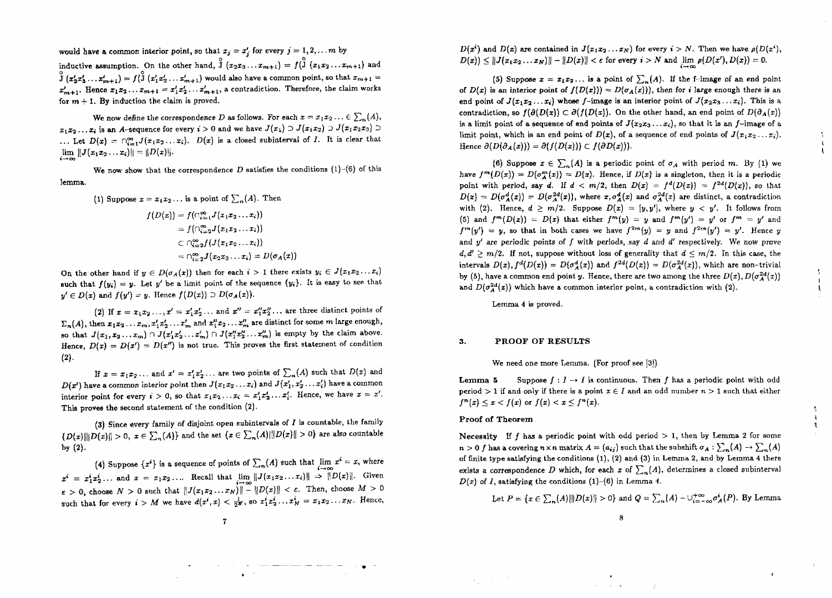would have a common interior point, so that  $x_j = x'_j$  for every  $j = 1, 2, \ldots m$  by inductive assumption. On the other hand,  $\hat{J}(x_2x_3...x_{m+1}) = f(\hat{J}(x_1x_2...x_{m+1})$  and  $\int_{0}^{0} (\pmb{x_2^t}\pmb{x_3^t}\dots\pmb{x_{m+1}^t}) = f(\int_{0}^{0} (\pmb{x_1^t}\pmb{x_2^t}\dots\pmb{x_{m+1}^t})$  would also have a common point, so that  $\pmb{x_{m+1}} =$  $J\{x_2x_3...x_{m+1}\} = J\{J\{x_1x_2...x_{m+1}\}$  would also have a common point, so that  $x_{m+1} = J\{J\}$  $x'_{m+1}$ . Hence  $x_1 x_2 ... x_{m+1} = x_1 x_2 ... x_{m+1}$ , a contradiction. Therefore, the claim works for  $m + 1$ . By induction the claim is proved.

We now define the correspondence *D* as follows. For each  $x = x_1 x_2 ... \in \sum_n (A)$ ,  $x_1x_2...x_i$  is an A-sequence for every  $i > 0$  and we have  $J(x_1) \supset J(x_1x_2) \supset J(x_1x_2x_3)$ ... Let  $D(x) = \bigcap_{i=1}^{\infty} J(x_1x_2...x_i)$ .  $D(x)$  is a closed subinterval of *I*. It is clear that  $\lim_{i \to \infty} ||J(x_1x_2...x_i)|| = ||D(x)||$ .

lemma. We now show that the correspondence  $D$  satisfies the conditions  $(1)-(6)$  of this

(1) Suppose 
$$
x = x_1 x_2 ...
$$
 is a point of  $\sum_n(A)$ . Then  
\n
$$
f(D(x)) = f(\bigcap_{i=1}^{\infty} J(x_1 x_2 ... x_i))
$$
\n
$$
= f(\bigcap_{i=2}^{\infty} J(x_1 x_2 ... x_i))
$$
\n
$$
\subset \bigcap_{i=2}^{\infty} f(J(x_1 x_2 ... x_i))
$$
\n
$$
= \bigcap_{i=2}^{\infty} J(x_2 x_3 ... x_i) = D(\sigma_A(x))
$$

On the other hand if  $y \in D(\sigma_A(x))$  then for each  $i > 1$  there exists  $y_i \in J(x_1x_2...x_i)$ such that  $f(y_i) = y$ . Let y' be a limit point of the sequence  $\{y_i\}$ . It is easy to see that  $y' \in D(x)$  and  $f(y') = y$ . Hence  $f(D(x)) \supset D(\sigma_A(x))$ .

(2) If  $x = x_1x_2...x' = x'_1x'_2...$  and  $x'' = x''_1x''_2...$  are three distinct points of  $\Sigma_n(A)$ , then  $x_1x_2...x_m, x'_1x'_2...x'_m$  and  $x''_1x_2...x''_m$  are distinct for some m large enough, so that  $J(x_1, x_2... x_m) \cap J(x'_1 x'_2 ... x'_m) \cap J(x''_1 x''_2 ... x''_m)$  is empty by the claim above. Hence,  $D(x) = D(x') = D(x'')$  is not true. This proves the first statement of condition **(2)-**

If  $x = x_1x_2...$  and  $x' = x'_1x'_2...$  are two points of  $\sum_n(A)$  such that  $D(x)$  and  $D(x^{\prime})$  have a common interior point then  $J(x_1x_2...x_i)$  and  $J(x_1^{\prime},x_2^{\prime},...x_i^{\prime})$  have a common interior point for every  $i > 0$ , so that  $x_1x_2...x_i = x'_1x'_2...x'_i$ . Hence, we have  $x = x'$ . This proves the second statement of the condition (2).

(3) Since every family of disjoint open subintervals of  $I$  is countable, the family  $\{D(x)| ||D(x)|| > 0, \ x \in \sum_n(A)\}$  and the set  $\{x \in \sum_n(A)| ||D(x)|| > 0\}$  are also countab by (2).

(4) Suppose  $\{x^i\}$  is a sequence of points of  $\sum_n(A)$  such that  $\lim x^i = x$ , where  $x^i = x^i_j x^j_{\infty}$ , and  $x = x_1 x_2$ .... Recall that  $\lim ||J(x_1 x_2 ... x_i)|| \Rightarrow ||D(x)||$ . Given  $\varepsilon > 0$ , choose  $N > 0$  such that  $||J(x_1x_2...x_N)|| - ||D(x)|| < \varepsilon$ . Then, choose  $M > 0$ such that for every  $i > M$  we have  $d(x^i, x) < \frac{1}{2^N}$ , so  $x_1^i x_2^i \ldots x_N^i = x_1 x_2 \ldots x_N$ . Hence,

 $D(x^i)$  and  $D(x)$  are contained in  $J(x_1x_2...x_N)$  for every  $i > N$ . Then we have  $\rho(D(x^i))$ ,  $D(x)$ )  $\leq$   $||J(x_1x_2...x_N)|| - ||D(x)|| < \varepsilon$  for every  $i > N$  and lim  $\rho(D(x'), D(x)) = 0$ .

(5) Suppose  $x = x_1 x_2 \ldots$  is a point of  $\sum_n(A)$ . If the f-image of an end point of  $D(x)$  is an interior point of  $f(D(x)) = D(\sigma_A(x))$ , then for *i* large enough there is an end point of  $J(x_1x_2...x_4)$  whose f-image is an interior point of  $J(x_2x_3...x_4)$ . This is a contradiction, so  $f(\partial(D(x)) \subset \partial(f(D(x)))$ . On the other hand, an end point of  $D(\partial_A(x))$ is a limit point of a sequence of end points of  $J(x_2x_3 \ldots x_i)$ , so that it is an  $f$ -image of a limit point, which is an end point of  $D(x)$ , of a sequence of end points of  $J(x_1 x_2 ... x_i)$ . Hence  $\partial(D(\partial_A(x))) = \partial(f(D(x))) \subset f(\partial D(x)).$ 

 $\mathbf{r}$  $\mathbf{I}$ 

(6) Suppose  $x \in \sum_{n}(A)$  is a periodic point of  $\sigma_A$  with period m. By (1) we have  $f^m(D(x)) = D(\sigma_A^m(x)) = D(x)$ . Hence, if  $D(x)$  is a singleton, then it is a periodic point with period, say *d.* If  $d < m/2$ , then  $D(x) = f^d(D(x)) = f^{2d}(D(x))$ , so that  $D(x) = D(\sigma_A^d(x)) = D(\sigma_A^{2d}(x))$ , where  $x, \sigma_A^d(x)$  and  $\sigma_A^{2d}(x)$  are distinct, a contradiction with (2). Hence,  $d \geq m/2$ . Suppose  $D(x) = [y, y']$ , where  $y < y'$ . It follows from (5) and  $f^m(D(x)) = D(x)$  that either  $f^m(y) = y$  and  $f^m(y') = y'$  or  $f^m = y'$  and  $f^{m}(y') = y$ , so that in both cases we have  $f^{2m}(y) = y$  and  $f^{2m}(y') = y'$ . Hence y and y' are periodic points of / with periods, say *d* and *d'* respectively. We now prove  $d, d' \geq m/2$ . If not, suppose without loss of generality that  $d \leq m/2$ . In this case, the intervals  $D(x)$ ,  $f^d(D(x)) = D(\sigma_A^d(x))$  and  $f^{2d}(D(x)) = D(\sigma_A^{2d}(x))$ , which are non-trivial by (5), have a common end point *y*. Hence, there are two among the three  $D(x)$ ,  $D(\sigma_A^{2d}(x))$ and  $D(\sigma_A^{2d}(x))$  which have a common interior point, a contradiction with (2).

Lemma 4 is proved.

#### 3. PROOF OF RESULTS

We need one more Lemma. (For proof see [3])

**Lemma 5** Suppose  $f: I \rightarrow I$  is continuous. Then f has a periodic point with odd period  $> 1$  if and only if there is a point  $x \in I$  and an odd number  $n > 1$  such that either  $f^{n}(x) \leq x < f(x)$  or  $f(x) < x \leq f^{n}(x)$ .

## Proof of Theorem

Necessity If f has a periodic point with odd period  $> 1$ , then by Lemma 2 for some  $n > 0$  f has a covering  $n \times n$  matrix  $A = (a_{ij})$  such that the subshift  $\sigma_A : \sum_n(A) \to \sum_n(A)$ of finite type satisfying the conditions  $(1), (2)$  and  $(3)$  in Lemma 2, and by Lemma 4 there exists a correspondence D which, for each x of  $\sum_{n}$  (A), determines a closed subinterval  $D(x)$  of *I*, satisfying the conditions (1)-(6) in Lemma 4.

8

Let 
$$
P = \{x \in \sum_n(A) \|\|D(x)\| > 0\}
$$
 and  $Q = \sum_n(A) - \bigcup_{i=-\infty}^{+\infty} \sigma_A^i(P)$ . By Lemma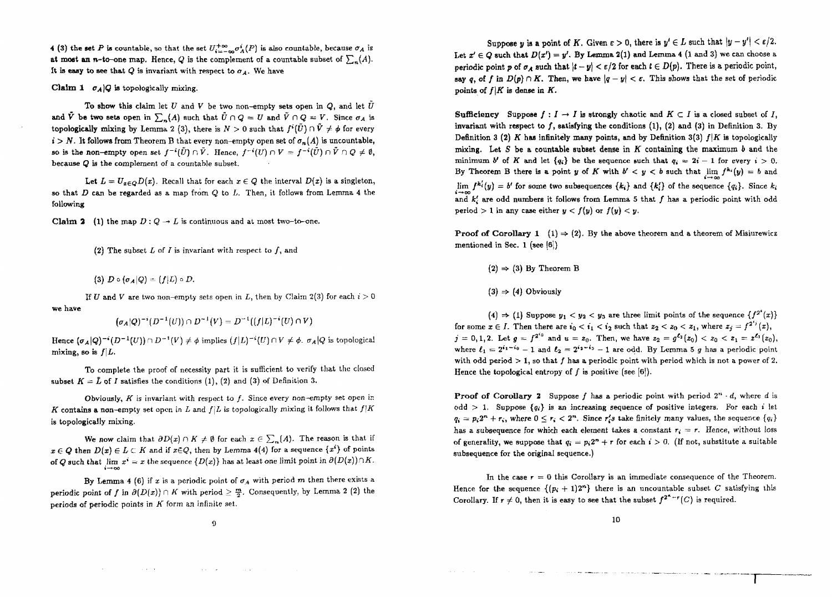4 (3) the set *P* is countable, so that the set  $U_{i=-\infty}^{+\infty} \sigma_A^i(P)$  is also countable, because  $\sigma_A$  is at most an n-to-one map. Hence, Q is the complement of a countable subset of  $\sum_{n}(A)$ . It is easy to see that  $Q$  is invariant with respect to  $\sigma_A$ . We have

**Claim 1**  $\sigma_A$ )*Q* is topologically mixing.

To show this claim let U and V be two non-empty sets open in Q, and let  $\tilde{U}$ and  $\tilde{V}$  be two sets open in  $\sum_{n} (A)$  such that  $\tilde{U} \cap Q = U$  and  $\tilde{V} \cap Q = V$ . Since  $\sigma_A$  is topologically mixing by Lemma 2 (3), there is  $N > 0$  such that  $f^i(\tilde{U}) \cap \tilde{V} \neq \phi$  for every  $t > N$ . It follows from Theorem B that every non-empty open set of  $\sigma_n(A)$  is uncountable, so is the non-empty open set  $f^{-i}(\tilde{U}) \cap \tilde{V}$ . Hence,  $f^{-i}(U) \cap V = f^{-i}(\tilde{U}) \cap \tilde{V} \cap Q \neq \emptyset$ , because Q is the complement of a countable subset.

Let  $L = U_{x \in Q} D(x)$ . Recall that for each  $x \in Q$  the interval  $D(x)$  is a singleton, so that *D* can be regarded as a map from Q to *L.* Then, it follows from Lemma 4 the following

**Claim 2** (1) the map  $D: Q \to L$  is continuous and at most two-to-one.

(2) The subset *L* of J is invariant with respect to /, and

(3)  $D \circ (\sigma_A|Q) = (f|L) \circ D$ ,

If *U* and *V* are two non-empty sets open in *L*, then by Claim 2(3) for each  $i > 0$ 

we have

 $(\sigma_A|Q)^{-\ast}(D^{-1}(U)) \cap D^{-1}(V) = D^{-1}((f|L)^{-\ast}(U) \cap V)$ 

Hence  $(\sigma_A|Q)^{-i}(D^{-1}(U))\cap D^{-1}(V)\neq \phi$  implies  $(f|L)^{-i}(U)\cap V\neq \phi$ .  $\sigma_A|Q$  is topological mixing, so is  $f|L$ .

To complete the proof of necessity part it is sufficient to verify that the closed subset  $K = \bar{L}$  of *I* satisfies the conditions (1), (2) and (3) of Definition 3.

Obviously,  $K$  is invariant with respect to  $f$ . Since every non-empty set open in *K* contains a non-empty set open in L and  $f\vert L$  is topologically mixing it follows that  $f\vert K$ is topologically mixing.

We now claim that  $\partial D(x) \cap K \neq \emptyset$  for each  $x \in \sum_{n} (A)$ . The reason is that if  $x \in Q$  then  $D(x) \in L \subset K$  and if  $x \in Q$ , then by Lemma 4(4) for a sequence  $\{x^{i}\}$  of points of *Q* such that  $\lim x^i = x$  the sequence  $\{D(x)\}$  has at least one limit point in  $\partial(D(x)) \cap K$ .

By Lemma 4 (6) if x is a periodic point of  $\sigma_A$  with period m then there exists a periodic point of f in  $\partial(D(x)) \cap K$  with period  $\geq \frac{m}{2}$ . Consequently, by Lemma 2 (2) the periods of periodic points in K form an infinite set.

Suppose y is a point of K. Given  $\varepsilon > 0$ , there is  $y' \in L$  such that  $|y - y'| < \varepsilon/2$ . Let  $x' \in Q$  such that  $D(x') = y'$ . By Lemma 2(1) and Lemma 4 (1 and 3) we can choose a periodic point p of  $\sigma_A$  such that  $|t - y| < \varepsilon/2$  for each  $t \in D(p)$ . There is a periodic point, say *q*, of f in  $D(p) \cap K$ . Then, we have  $|q - y| < \varepsilon$ . This shows that the set of periodic points of *f\K* is dense in *K.*

**Sufficiency** Suppose  $f: I \rightarrow I$  is strongly chaotic and  $K \subset I$  is a closed subset of I. invariant with respect to f, satisfying the conditions  $(1)$ ,  $(2)$  and  $(3)$  in Definition 3. By Definition 3 (2) K has infinitely many points, and by Definition 3(3)  $f|K$  is topologically mixing. Let *S* be a countable subset dense in *K* containing the maximum 6 and the minimum *b'* of *K* and let  ${g_i}$  be the sequence such that  ${g_i = 2i - 1}$  for every  $i > 0$ . By Theorem B there is a point *y* of *K* with  $b' < y < b$  such that  $\lim f^{k_i}(y) = b$  and lim  $f^{k_i'}(y) = b'$  for some two subsequences  $\{k_i\}$  and  $\{k_i'\}$  of the sequence  $\{q_i\}$ . Since  $k_i$ and  $k'$  are odd numbers it follows from Lemma 5 that  $f$  has a periodic point with odd period  $> 1$  in any case either  $y < f(y)$  or  $f(y) < y$ .

**Proof of Corollary 1** (1)  $\Rightarrow$  (2). By the above theorem and a theorem of Misiurewicz mentioned in Sec. 1 (see [6])

- $(2) \Rightarrow (3)$  By Theorem B
- $(3) \Rightarrow (4)$  Obviously

(4)  $\Rightarrow$  (1) Suppose  $y_1 < y_2 < y_3$  are three limit points of the sequence  $\{f^{2^i}(x)\}$ for some  $x \in I$ . Then there are  $i_0 < i_1 < i_2$  such that  $z_2 < z_0 < z_1,$  where  $z_j = f^{2^{i_j}}(x),$  $j = 0, 1, 2$ . Let  $g = f^{2^{r_0}}$  and  $u = z_0$ . Then, we have  $z_2 = g^{\ell_2}(z_0) < z_0 < z_1 = z^{\ell_1}(z_0)$ , where  $\ell_1 = 2^{i_1-i_0} - 1$  and  $\ell_2 = 2^{i_2-i_0} - 1$  are odd. By Lemma 5 g has a periodic point with odd period  $> 1$ , so that f has a periodic point with period which is not a power of 2. Hence the topological entropy of  $f$  is positive (see [6]).

Proof of Corollary *1* Suppose / has a periodic point with period 2" • *d,* where *d* is odd > 1. Suppose  ${q_i}$  is an increasing sequence of positive integers. For each *i* let  $q_i = p_i 2^n + r_i$ , where  $0 \le r_i \le 2^n$ . Since r's take finitely many values, the sequence  $\{q_i\}$ has a subsequence for which each element takes a constant  $r_i = r$ . Hence, without loss of generality, we suppose that  $q_i = p_i 2^n + r$  for each  $i > 0$ . (If not, substitute a suitable subsequence for the original sequence.)

In the case  $r = 0$  this Corollary is an immediate consequence of the Theorem. Hence for the sequence  $\{(p_i + 1)2^n\}$  there is an uncountable subset C satisfying this Corollary. If  $r \neq 0$ , then it is easy to see that the subset  $f^{2^n-r}(C)$  is required.

 $\mathcal{A}$  is the contract of the contract of the contract of the contract of  $\mathcal{A}$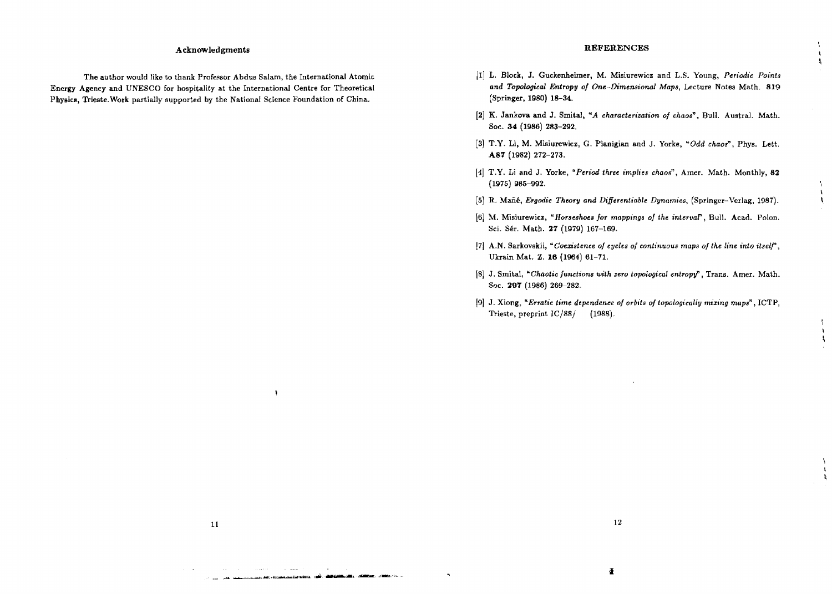### A cknowledgments

The author would tike to thank Professor Abdus Salam, the International Atomic Energy Agency and UNESCO for hospitality at the International Centre for Theoretical Physics, Trieste.Work partially supported by the National Science Foundation of China,

### REFERENCES

[I] L. Block, J. Guckenheirner, M. Misiurewicz and L.S. Young, *Periodic Points and Topologieal Entropy of One-Dimensional Maps,* Lecture Notes Math. 819 (Springer, 1980) 18-34.

 $\mathbf{1}$  $\mathbf{A}$ 

-l

f.  $\mathbf{v}$  $\mathbf{I}$ 

-1

- [2] K. Jankova and J. Smital, *"A characterization of chaos",* Bull. Austral. Math. Soc. 34 (1986) 283-292.
- [3] T.Y. Li, M. Misiurewicz, G. Pianigian and J. Yorke, *"Odd chaos",* Phys. Lett. **A87** (1982) 272-273.
- [4] T.Y. Li and J. Yorke, *"Period three implies chaos",* Amer. Math. Monthly, 82 (1975) 985-992.
- [5] R. Mafi£, *Ergodic Theory and Dijferentiable Dynamics,* (Springer—Verlag, 1987).
- [6] M. Misiurewicz, *"Horseshoes for mappings of the intervar*, Bull. Acad, Polon. Sci. Ser. Math. **27** (1979) 167-169.
- [7] A.N. Sarkovskii, *"Coexistence of cycles of continuous maps of the line into itself",* Ukrain Mat. Z. 16 (1964) 61-71.
- [8] J. Smital, *"Chaotic functions with zero topologieal entropy"*, Trans. Amer. Math. Soc. **297** (1986) 269-282.
- [9] J. Xiong, *"Erratic time dependence of orbits of topologically mixing maps",* ICTP, Trieste, preprint IC/88/ (1988).

 $\overline{\phantom{a}}$ 

الأزاوا القوف بمتخصصهم وووب وجعفى بمرز

 $\blacksquare$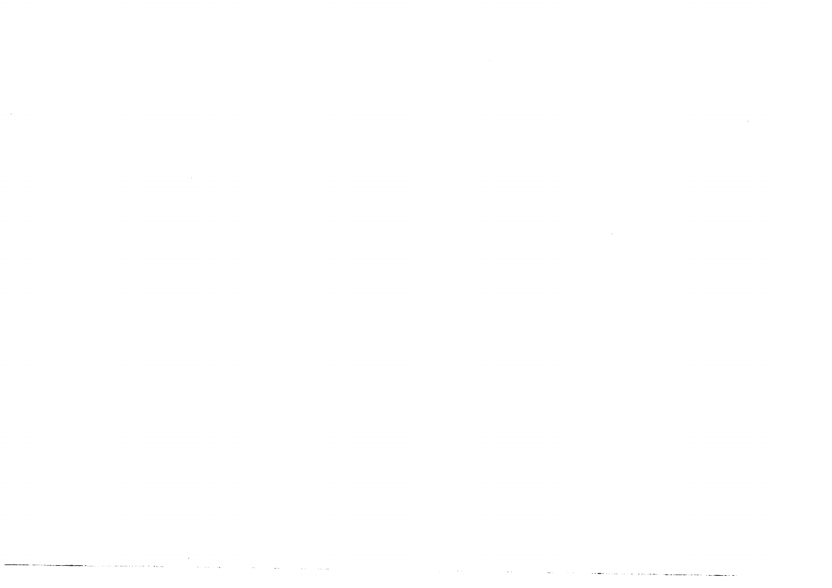$\mathcal{L}(\mathcal{L}^{\mathcal{L}}(\mathcal{L}^{\mathcal{L}}(\mathcal{L}^{\mathcal{L}}(\mathcal{L}^{\mathcal{L}}(\mathcal{L}^{\mathcal{L}}(\mathcal{L}^{\mathcal{L}}(\mathcal{L}^{\mathcal{L}}(\mathcal{L}^{\mathcal{L}}(\mathcal{L}^{\mathcal{L}}(\mathcal{L}^{\mathcal{L}}(\mathcal{L}^{\mathcal{L}}(\mathcal{L}^{\mathcal{L}}(\mathcal{L}^{\mathcal{L}}(\mathcal{L}^{\mathcal{L}}(\mathcal{L}^{\mathcal{L}}(\mathcal{L}^{\mathcal{L}}(\mathcal{L}$ 

 $\mathcal{L}(\mathcal{L}(\mathcal{L}))$  and the contribution of the contribution of the contribution of the contribution of the contribution of the contribution of the contribution of the contribution of the contribution of the contribution

 $\label{eq:2.1} \mathcal{L}(\mathcal{A}) = \mathcal{L}(\mathcal{A}) = \mathcal{L}(\mathcal{A})$ 

 $\mathcal{O}(\mathcal{O}_\mathcal{O})$  . We have a simple point of the set of the set of the set of the set of the set of the set of the set of the set of the set of the set of the set of the set of the set of the set of the set of the set  $\phi$  and the second contract of the second  $\phi$  $\sim 0.0000$  , and  $\sim 0.000$